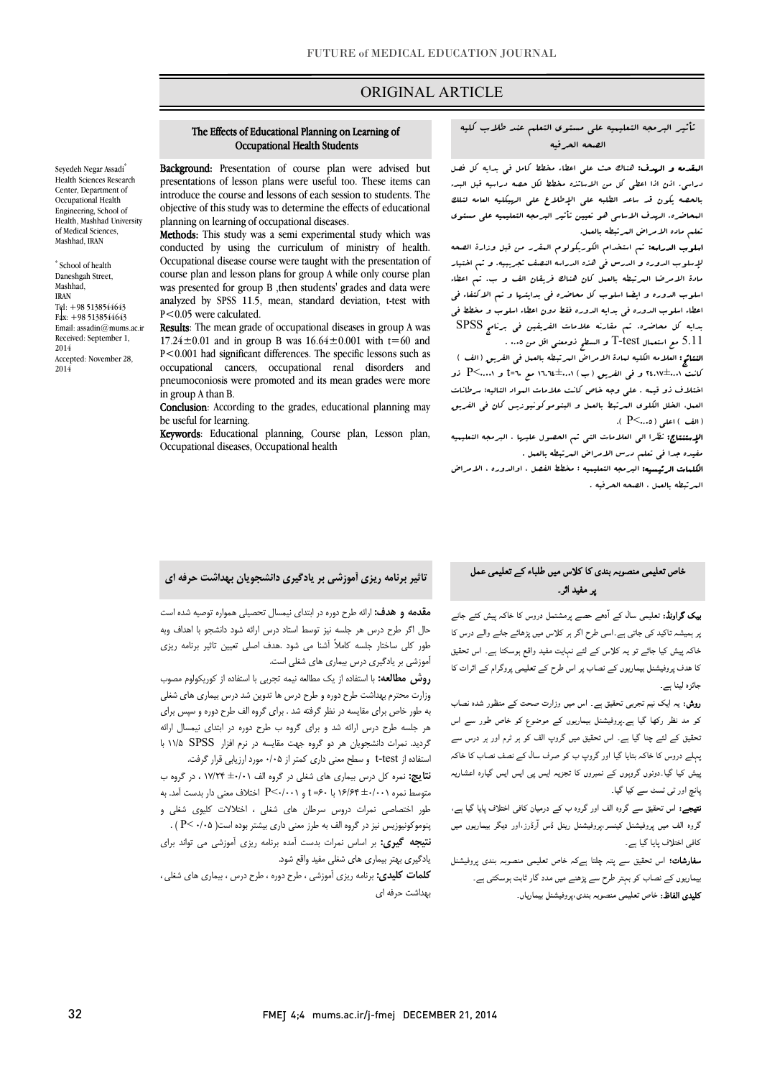## ORIGINAL ARTICLE

 تأثیر البرمجه التعلیمیه علی مستوي التعلم عند طلاب کلیه الصحه الحرفیه

Ī

 المقدمه و الهدف: هناك حث علی اعطاء مخطط کامل فی بدایه کل فصل بوری، این است سعی این این است و سعی است الیورو الیه الله علی الهیکلیه العامه لتلک<br>بالحصه یکون قد ساعد الطلبه علی الإطلاع علی الرسکلیه العامه لتلک المحاضره. الهدف الاساسی هو تعیین تأثیر البرمجه التعلیمیه علی مستوي تعلم ماده الامراض المرتبطه بالعمل. دراسی. اذن اذا اعطی کل من الاساتذه مخطط لکل حصه دراسیه قبل البدء

 اسلوب الدراسه: تم استخدام الکوریکولوم المقرر من قبل وزارة الصحه لإسلوب الدوره و الدرس فی هذه الدراسه النصف تجریبیه. و تم اختیار مادة الامرضا المرتبطه بالعمل کان هناك فریقان الف و ب. تم اعطاء اعطاء اسلوب الدوره فی بدایه الدوره فقط دون اعطاء اسلوب و مخطط فی بدایه کل محاضره. تم مقارنه علامات الفریقین فی برنامج SPSS 5.11 مع استعمال test-T و السطح ذومعنی اقل من 0.05 . اسلوب الدوره و ایضا اسلوب کل محاضره فی بدایتها و تم الاکتفاء فی

 النتائج: العلامه الکلیه لمادة الامراض المرتبطه بالعمل فی الفریق (الف ) کانت 24.17±0.01 و فی الفریق (ب) 16.64±0.01 مع 60=t و 0.001>P ذو اختلاف ذو قیمه . علی وجه خاص کانت علامات المواد التالیه؛ سرطانات (الف ) اعلی (0.05>P( . العمل، الخلل الکلوي المرتبط بالعمل و البنوموکونیوزیس کان فی الفریق

 الإستنتاج: نظرا الی العلامات التی تم الحصول علیها ، البرمجه التعلیمیه مفیده جدا فی تعلم درس الامراض المرتبطه بالعمل .

 الکلمات الرئیسیه: البرمجه التعلیمیه ؛ مخطط الفصل ، اوالدوره ، الامراض المرتبطه بالعمل ، الصحه الحرفیه .

## The Effects of Educational Planning on Learning of Occupational Health Students

Ī

Background: Presentation of course plan were advised but introduce the course and lessons of each session to students. The objective of this study was to determine the effects of educational presentations of lesson plans were useful too. These items can planning on learning of occupational diseases.

planning on learning or occupational diseases.<br>**Methods:** This study was a semi experimental study which was conducted by using the curriculum of ministry of health. Occupational disease course were taught with the presentation of was presented for group B , then students' grades and data were analyzed by SPSS 11.5, mean, standard deviation, t-test with course plan and lesson plans for group A while only course plan P<0.05 were calculated.

**Results**: The mean grade of occupational diseases in group A was 17.24 $\pm$ 0.01 and in group B was 16.64 $\pm$ 0.001 with t=60 and P<0.001 had significant differences. The specific lessons such as pneumoconiosis were promoted and its mean grades were more occupational cancers, occupational renal disorders and in group A than B.

**Conclusion**: According to the grades, educational planning may be useful for learning.

Keywords: Educational planning, Course plan, Lesson plan, Occupational diseases, Occupational health

### تاثیر برنامه ریزي آموزشی بر یادگیري دانشجویان بهداشت حرفه اي

**یپک گراونڈ:** تعلیمی سال کے آدھے حصے پرمشتمل دروس کا خاکہ پیش کئے جانے بر ہمیشہ تاکید کی جاتی ہے۔اسی طرح اگر ہر کلاس میں پڑھائے جانے والے درس کا خاکہ پیش کیا جائے تو یہ کلاس کے لئے نہایت مفید واقع ہوسکتا ہے۔ اس تحقیق کا ہدف پروفیشنل بیماریوں کے نصاب پر اس طرح کے تعلیمی پروگرام کے اثرات کا جائزہ لینا ہے۔

فاص تعلیمی منصوبہ بندی کا کلاس میں طلباء کے تعلیمی عمل<br>۔

یر مفید اثر۔

**روش:** یہ ایک نیم تجربی تحقیق ہے۔ اس میں وزارت صحت کے منظور شدہ نصاب<br>۔ کو مد نظر رکھا گیا ہے۔پروفیشنل بیماریوں کے موضوع کو خاص طور سے اس<br>۔ Ī ، ، ے کرت<br>بیش کیا گیا۔دونوں گروہوں کے نمبروں کا تجزیہ ایس پی ایس ایس گیارہ اعشاریہ یہ تو ہے۔<br>پانچ اور ٹی ٹسٹ سے کیا گیا۔ ۔<br>تحقیق کے لئے چنا گیا ہے۔ اس تحقیق میں گروپ الف کو ہر ٹرم اور ہر درس سے ہبلے دروس کا خاکہ بتایا گیا اور گروپ ب کو صرف سال کے نصف نصاب کا خاکہ

.<br>**نتیجے:** اس تحقیق سے گروہ الف اور گروہ ب کے درمیان کافی اختلاف پایا گیا ہے، گروہ الف میں پروفیشنل کینسر،پروفیشنل رینل ڈس آرڈرز،اور دیگر بیماریوں میں کافی اختلاف پایا گیا ہے۔

۔<br>**سفارشات؛** اس تحقیق سے پتہ چلتا ہےکہ خاص تعلیمی منصوبہ بندی پروفیشنل <sub>۔</sub><br>بیماریوں کے نصاب کو بہتر طرح سے پڑھنے میں مدد گار ثابت ہوسکتی ہے۔

**کلیدی الفاظ:** خاص تعلیمی منصوبہ بندی،پروفیشنل بیماریاں۔

**یک گراونڈ:** تعلیمی سال کے آدھے حصے پرمشتمل دروس کا خاکہ پیش کئے جانے ۔ م**قدمه و هدف:** ارائه طرح دوره در ابتدای نیمسال تحصیلی همواره توصیه شده است حال اگر طرح درس هر جلسه نیز توسط استاد درس ارائه شود دانشجو با اهداف وبه طور کلی ساختار جلسه کاملاً آشنا می شود .هدف اصلی تعیین تاثیر برنامه ریزي آموزشی بر یادگیري درس بیماري هاي شغلی است.

روس مطالعه: با استفاده از یک مطالعه نیمه تجربی با استفاده از کوریکولوم مصوب<br>**روش مطالعه:** با استفاده از یک مطالعه نیمه تجربی با استفاده از کوریکولوم مصوب وزارت محترم بهداشت طرح دوره و طرح درس ها تدوین شد درس بیماري هاي شغلی به طور خاص براي مقایسه در نظر گرفته شد . براي گروه الف طرح دوره و سپس براي هر جلسه طرح درس ارائه شد و براي گروه ب طرح دوره در ابتداي نیمسال ارائه گردید. نمرات دانشجویان هر دو گروه جهت مقایسه در نرم افزار SPSS 11/5 با استفاده از test-t و سطح معنی داري کمتر از 0/05 مورد ارزیابی قرار گرفت.

 نتایج: نمره کل درس بیماري هاي شغلی در گروه الف ±0/01 17/24 ، در گروه ب طور اختصاصی نمرات دروس سرطان هاي شغلی ، اختلالات کلیوي شغلی و پنوموکونیوزیس نیز در گروه الف به طرز معنی داري بیشتر بوده است( 0/05 >P ( . متوسط نمره ±0/001 16/64 با 60= t و 0/001>P اختلاف معنی دار بدست آمد. به

 نتیجه گیري: بر اساس نمرات بدست آمده برنامه ریزي آموزشی می تواند براي یادگیري بهتر بیماري هاي شغلی مفید واقع شود.

 کلمات کلیدي: برنامه ریزي آموزشی ، طرح دوره ، طرح درس ، بیماري هاي شغلی ، بهداشت حرفه اي

Seyedeh Negar Assadi\* Health Sciences Research Center, Department of Occupational Health Engineering, School of Health, Mashhad University of Medical Sciences, Mashhad, IRAN

\* School of health Daneshgah Street, Mashhad, IRAN Tel: +98 5138544643 Fax: +98 5138544643 Email: assadin@mums.ac.ir Received: September 1, 2014 Accepted: November 28, 2014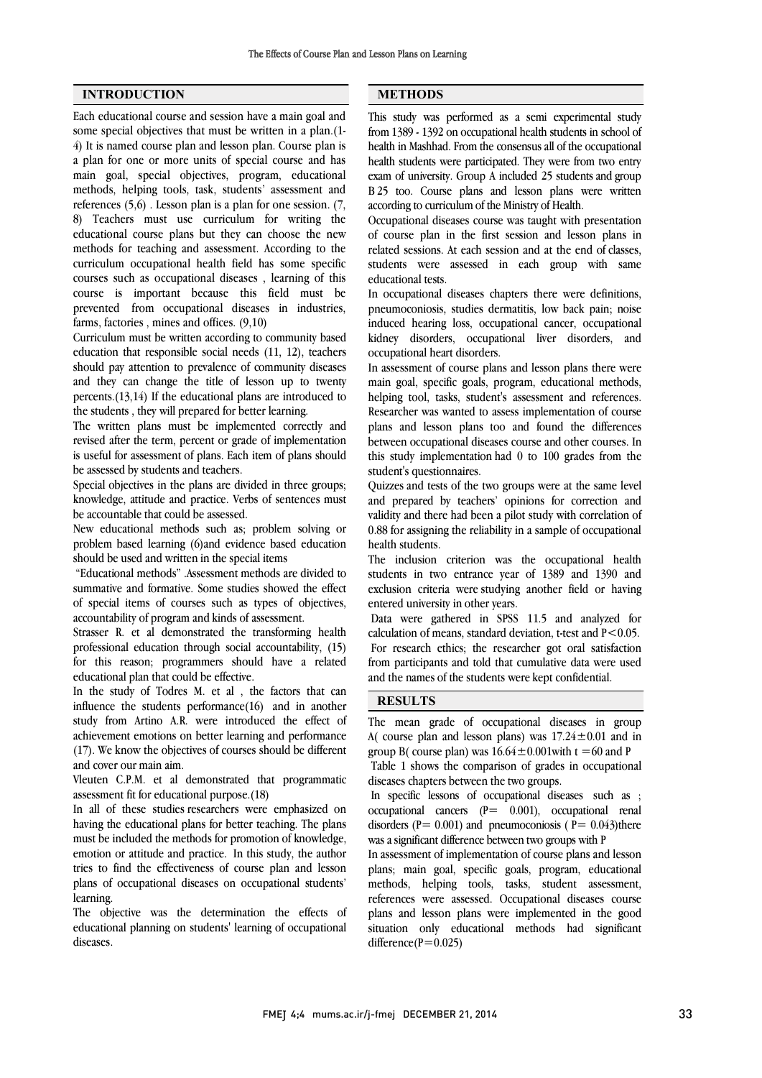### **INTRODUCTION**

Each educational course and session have a main goal and some special objectives that must be written in a plan.(1- 4) It is named course plan and lesson plan. Course plan is a plan for one or more units of special course and has main goal, special objectives, program, educational methods, helping tools, task, students' assessment and references (5,6) . Lesson plan is a plan for one session. (7, 8) Teachers must use curriculum for writing the educational course plans but they can choose the new methods for teaching and assessment. According to the curriculum occupational health field has some specific courses such as occupational diseases , learning of this course is important because this field must be prevented from occupational diseases in industries, farms, factories , mines and offices. (9,10)

Curriculum must be written according to community based education that responsible social needs (11, 12), teachers should pay attention to prevalence of community diseases and they can change the title of lesson up to twenty percents.(13,14) If the educational plans are introduced to the students , they will prepared for better learning.

The written plans must be implemented correctly and revised after the term, percent or grade of implementation is useful for assessment of plans. Each item of plans should be assessed by students and teachers.

Special objectives in the plans are divided in three groups; knowledge, attitude and practice. Verbs of sentences must be accountable that could be assessed.

New educational methods such as; problem solving or problem based learning (6)and evidence based education should be used and written in the special items

"Educational methods" .Assessment methods are divided to summative and formative. Some studies showed the effect of special items of courses such as types of objectives, accountability of program and kinds of assessment.

Strasser R. et al demonstrated the transforming health professional education through social accountability, (15) for this reason; programmers should have a related educational plan that could be effective.

In the study of Todres M. et al , the factors that can influence the students performance(16) and in another study from Artino A.R. were introduced the effect of achievement emotions on better learning and performance (17). We know the objectives of courses should be different and cover our main aim.

Vleuten C.P.M. et al demonstrated that programmatic assessment fit for educational purpose.(18)

In all of these studies researchers were emphasized on having the educational plans for better teaching. The plans must be included the methods for promotion of knowledge, emotion or attitude and practice. In this study, the author tries to find the effectiveness of course plan and lesson plans of occupational diseases on occupational students' learning.

The objective was the determination the effects of educational planning on students' learning of occupational diseases.

### **METHODS**

L

 This study was performed as a semi experimental study from1389 - 1392 on occupational health students in school of health students were participated. They were from two entry exam of university. Group A included 25 students and group B 25 too. Course plans and lesson plans were written according to curriculum of the Ministry of Health. health in Mashhad. From the consensus all of the occupational

 of course plan in the first session and lesson plans in related sessions. At each session and at the end of classes, students were assessed in each group with same educational tests. Occupational diseases course was taught with presentation

 pneumoconiosis, studies dermatitis, low back pain; noise induced hearing loss, occupational cancer, occupational kidney disorders, occupational liver disorders, and occupational heart disorders. In occupational diseases chapters there were definitions,

m assessment of coarse plans and resson plans are were helping tool, tasks, student's assessment and references. Researcher was wanted to assess implementation of course plans and lesson plans too and found the differences this study implementation had 0 to 100 grades from the student's questionnaires. In assessment of course plans and lesson plans there were between occupational diseases course and other courses. In

 Quizzes and tests of the two groups were at the same level and prepared by teachers' opinions for correction and 0.88 for assigning the reliability in a sample of occupational health students. validity and there had been a pilot study with correlation of

 The inclusion criterion was the occupational health students in two entrance year of 1389 and 1390 and entered university in other years. exclusion criteria were studying another field or having

 Data were gathered in SPSS 11.5 and analyzed for calculation of means, standard deviation, t-test and  $P < 0.05$ . For research ethics; the researcher got oral satisfaction and the names of the students were kept confidential. from participants and told that cumulative data were used

# RESULTS

 $\overline{a}$ 

 The mean grade of occupational diseases in group group B( course plan) was  $16.64 \pm 0.001$  with  $t = 60$  and P A( course plan and lesson plans) was  $17.24 \pm 0.01$  and in

 Table 1 shows the comparison of grades in occupational diseases chapters between the two groups.

In specific ressons of occupational diseases such as  $\beta$  occupational renal disorders  $(P = 0.001)$  and pneumoconiosis  $(P = 0.043)$ there was a significant difference between two groups with P In specific lessons of occupational diseases such as ;

 In assessment of implementation of course plans and lesson plans; main goal, specific goals, program, educational references were assessed. Occupational diseases course plans and lesson plans were implemented in the good situation only educational methods had significant difference( $P=0.025$ ) methods, helping tools, tasks, student assessment,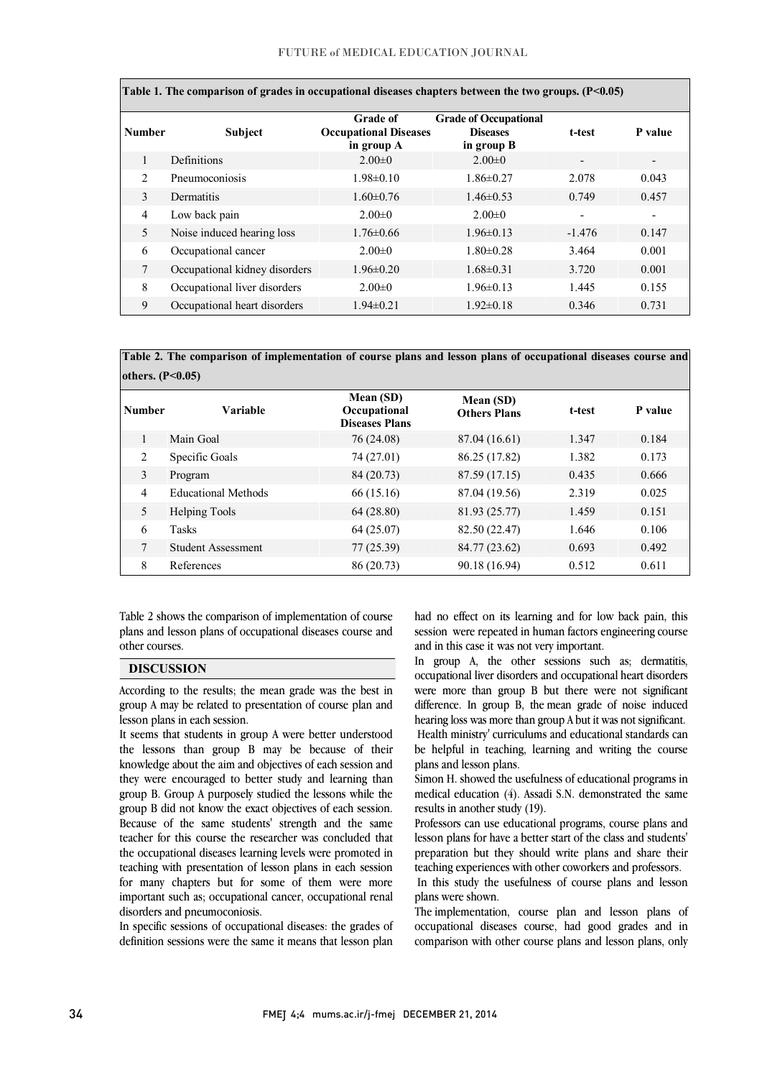| Table 1. The comparison of grades in occupational diseases chapters between the two groups. $(P<0.05)$ |                               |                                                               |                                                               |                          |                |  |  |  |  |
|--------------------------------------------------------------------------------------------------------|-------------------------------|---------------------------------------------------------------|---------------------------------------------------------------|--------------------------|----------------|--|--|--|--|
| <b>Number</b>                                                                                          | <b>Subject</b>                | <b>Grade of</b><br><b>Occupational Diseases</b><br>in group A | <b>Grade of Occupational</b><br><b>Diseases</b><br>in group B | t-test                   | P value        |  |  |  |  |
|                                                                                                        | Definitions                   | $2.00 \pm 0$                                                  | $2.00 \pm 0$                                                  | $\overline{\phantom{a}}$ | -              |  |  |  |  |
| $\mathfrak{D}$                                                                                         | Pneumoconiosis                | $1.98 \pm 0.10$                                               | $1.86 \pm 0.27$                                               | 2.078                    | 0.043          |  |  |  |  |
| 3                                                                                                      | Dermatitis                    | $1.60 \pm 0.76$                                               | $1.46\pm0.53$                                                 | 0.749                    | 0.457          |  |  |  |  |
| $\overline{4}$                                                                                         | Low back pain                 | $2.00 \pm 0$                                                  | $2.00 \pm 0$                                                  | $\overline{\phantom{a}}$ | $\blacksquare$ |  |  |  |  |
| 5                                                                                                      | Noise induced hearing loss    | $1.76 \pm 0.66$                                               | $1.96\pm0.13$                                                 | $-1.476$                 | 0.147          |  |  |  |  |
| 6                                                                                                      | Occupational cancer           | $2.00 \pm 0$                                                  | $1.80 \pm 0.28$                                               | 3.464                    | 0.001          |  |  |  |  |
| $\tau$                                                                                                 | Occupational kidney disorders | $1.96 \pm 0.20$                                               | $1.68 \pm 0.31$                                               | 3.720                    | 0.001          |  |  |  |  |
| 8                                                                                                      | Occupational liver disorders  | $2.00 \pm 0$                                                  | $1.96 \pm 0.13$                                               | 1.445                    | 0.155          |  |  |  |  |
| 9                                                                                                      | Occupational heart disorders  | $1.94\pm0.21$                                                 | $1.92 \pm 0.18$                                               | 0.346                    | 0.731          |  |  |  |  |

 Table 2. The comparison of implementation of course plans and lesson plans of occupational diseases course and others.  $(P<0.05)$ 

| Number         | Variable                   | Mean (SD)<br>Occupational<br><b>Diseases Plans</b> | Mean (SD)<br><b>Others Plans</b> | t-test | P value |
|----------------|----------------------------|----------------------------------------------------|----------------------------------|--------|---------|
|                | Main Goal                  | 76 (24.08)                                         | 87.04 (16.61)                    | 1.347  | 0.184   |
| 2              | Specific Goals             | 74 (27.01)                                         | 86.25 (17.82)                    | 1.382  | 0.173   |
| 3              | Program                    | 84 (20.73)                                         | 87.59 (17.15)                    | 0.435  | 0.666   |
| $\overline{4}$ | <b>Educational Methods</b> | 66 (15.16)                                         | 87.04 (19.56)                    | 2.319  | 0.025   |
| 5              | <b>Helping Tools</b>       | 64(28.80)                                          | 81.93 (25.77)                    | 1.459  | 0.151   |
| 6              | <b>Tasks</b>               | 64 (25.07)                                         | 82.50 (22.47)                    | 1.646  | 0.106   |
| 7              | <b>Student Assessment</b>  | 77 (25.39)                                         | 84.77 (23.62)                    | 0.693  | 0.492   |
| 8              | References                 | 86 (20.73)                                         | 90.18 (16.94)                    | 0.512  | 0.611   |

 Table 2 shows the comparison of implementation of course plans and lesson plans of occupational diseases course and  $\overline{a}$ other courses.

#### DISCUSSION

 According to the results; the mean grade was the best in group A may be related to presentation of course plan and lesson plans in each session.

 $\overline{a}$ 

 It seems that students in group A were better understood the lessons than group B may be because of their knowledge about the aim and objectives of each session and they were encouraged to better study and learning than group B did not know the exact objectives of each session. Because of the same students' strength and the same teacher for this course the researcher was concluded that the occupational diseases learning levels were promoted in for many chapters but for some of them were more important such as; occupational cancer, occupational renal group B. Group A purposely studied the lessons while the teaching with presentation of lesson plans in each session disorders and pneumoconiosis.

 In specific sessions of occupational diseases: the grades of definition sessions were the same it means that lesson plan

 had no effect on its learning and for low back pain, this session were repeated in human factors engineering course and in this case it was not very important.

In group A, the other sessions such as; dermatitis, occupational liver disorders and occupational heart disorders were more than group B but there were not significant difference. In group B, the mean grade of noise induced Health ministry' curriculums and educational standards can be helpful in teaching, learning and writing the course hearing loss was more than group A but it was not significant. plans and lesson plans.

 Simon H. showed the usefulness of educational programs in medical education  $(4)$ . Assadi S.N. demonstrated the same results in another study (19).

 Professors can use educational programs, course plans and lesson plans for have a better start of the class and students' preparation but they should write plans and share their teaching experiences with other coworkers and professors.

 In this study the usefulness of course plans and lesson plans were shown.

 The implementation, course plan and lesson plans of occupational diseases course, had good grades and in comparison with other course plans and lesson plans, only